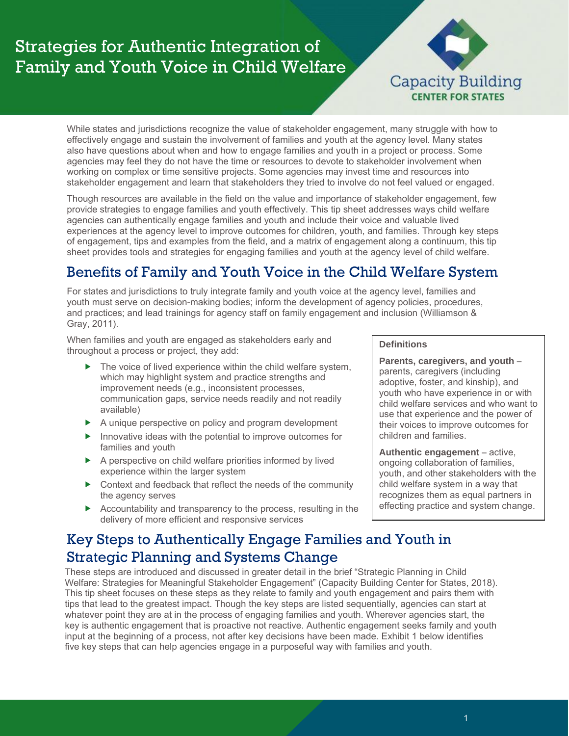# Strategies for Authentic Integration of Family and Youth Voice in Child Welfare



While states and jurisdictions recognize the value of stakeholder engagement, many struggle with how to effectively engage and sustain the involvement of families and youth at the agency level. Many states also have questions about when and how to engage families and youth in a project or process. Some agencies may feel they do not have the time or resources to devote to stakeholder involvement when working on complex or time sensitive projects. Some agencies may invest time and resources into stakeholder engagement and learn that stakeholders they tried to involve do not feel valued or engaged.

Though resources are available in the field on the value and importance of stakeholder engagement, few provide strategies to engage families and youth effectively. This tip sheet addresses ways child welfare agencies can authentically engage families and youth and include their voice and valuable lived experiences at the agency level to improve outcomes for children, youth, and families. Through key steps of engagement, tips and examples from the field, and a matrix of engagement along a continuum, this tip sheet provides tools and strategies for engaging families and youth at the agency level of child welfare.

# Benefits of Family and Youth Voice in the Child Welfare System

For states and jurisdictions to truly integrate family and youth voice at the agency level, families and youth must serve on decision-making bodies; inform the development of agency policies, procedures, and practices; and lead trainings for agency staff on family engagement and inclusion (Williamson & Gray, 2011).

When families and youth are engaged as stakeholders early and throughout a process or project, they add:

- ▶ The voice of lived experience within the child welfare system, which may highlight system and practice strengths and improvement needs (e.g., inconsistent processes, communication gaps, service needs readily and not readily available)
- A unique perspective on policy and program development
- $\blacktriangleright$  Innovative ideas with the potential to improve outcomes for families and youth
- A perspective on child welfare priorities informed by lived experience within the larger system
- ▶ Context and feedback that reflect the needs of the community the agency serves
- Accountability and transparency to the process, resulting in the delivery of more efficient and responsive services

#### **Definitions**

**Parents, caregivers, and youth** – parents, caregivers (including adoptive, foster, and kinship), and youth who have experience in or with child welfare services and who want to use that experience and the power of their voices to improve outcomes for children and families.

**Authentic engagement** – active, ongoing collaboration of families, youth, and other stakeholders with the child welfare system in a way that recognizes them as equal partners in effecting practice and system change.

## Key Steps to Authentically Engage Families and Youth in Strategic Planning and Systems Change

These steps are introduced and discussed in greater detail in the brief "Strategic Planning in Child Welfare: Strategies for Meaningful Stakeholder Engagement" (Capacity Building Center for States, 2018). This tip sheet focuses on these steps as they relate to family and youth engagement and pairs them with tips that lead to the greatest impact. Though the key steps are listed sequentially, agencies can start at whatever point they are at in the process of engaging families and youth. Wherever agencies start, the key is authentic engagement that is proactive not reactive. Authentic engagement seeks family and youth input at the beginning of a process, not after key decisions have been made. Exhibit 1 below identifies five key steps that can help agencies engage in a purposeful way with families and youth.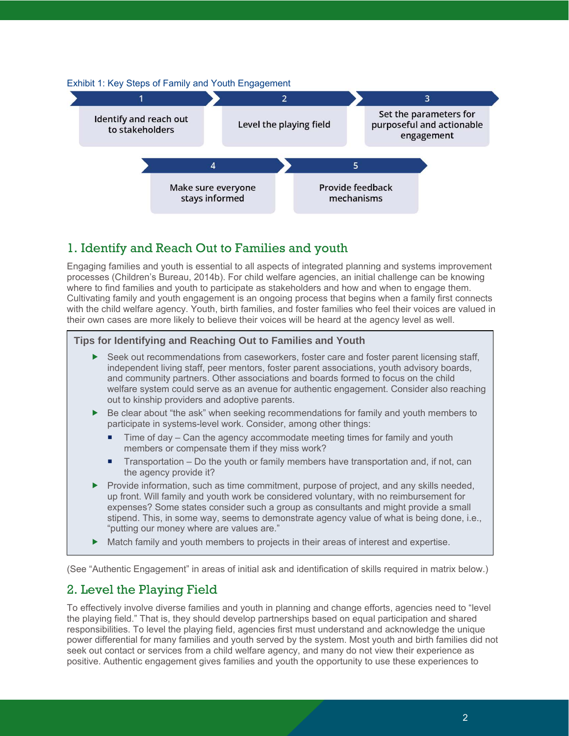

## 1. Identify and Reach Out to Families and youth

Engaging families and youth is essential to all aspects of integrated planning and systems improvement processes (Children's Bureau, 2014b). For child welfare agencies, an initial challenge can be knowing where to find families and youth to participate as stakeholders and how and when to engage them. Cultivating family and youth engagement is an ongoing process that begins when a family first connects with the child welfare agency. Youth, birth families, and foster families who feel their voices are valued in their own cases are more likely to believe their voices will be heard at the agency level as well.

#### **Tips for Identifying and Reaching Out to Families and Youth**

- Seek out recommendations from caseworkers, foster care and foster parent licensing staff, independent living staff, peer mentors, foster parent associations, youth advisory boards, and community partners. Other associations and boards formed to focus on the child welfare system could serve as an avenue for authentic engagement. Consider also reaching out to kinship providers and adoptive parents.
- $\blacktriangleright$ Be clear about "the ask" when seeking recommendations for family and youth members to participate in systems-level work. Consider, among other things:
	- ۰ Time of day – Can the agency accommodate meeting times for family and youth members or compensate them if they miss work?
	- ۹ Transportation – Do the youth or family members have transportation and, if not, can the agency provide it?
- $\blacktriangleright$ Provide information, such as time commitment, purpose of project, and any skills needed, up front. Will family and youth work be considered voluntary, with no reimbursement for expenses? Some states consider such a group as consultants and might provide a small stipend. This, in some way, seems to demonstrate agency value of what is being done, i.e., "putting our money where are values are."
- $\blacktriangleright$ Match family and youth members to projects in their areas of interest and expertise.

(See "Authentic Engagement" in areas of initial ask and identification of skills required in matrix below.)

### 2. Level the Playing Field

To effectively involve diverse families and youth in planning and change efforts, agencies need to "level the playing field." That is, they should develop partnerships based on equal participation and shared responsibilities. To level the playing field, agencies first must understand and acknowledge the unique power differential for many families and youth served by the system. Most youth and birth families did not seek out contact or services from a child welfare agency, and many do not view their experience as positive. Authentic engagement gives families and youth the opportunity to use these experiences to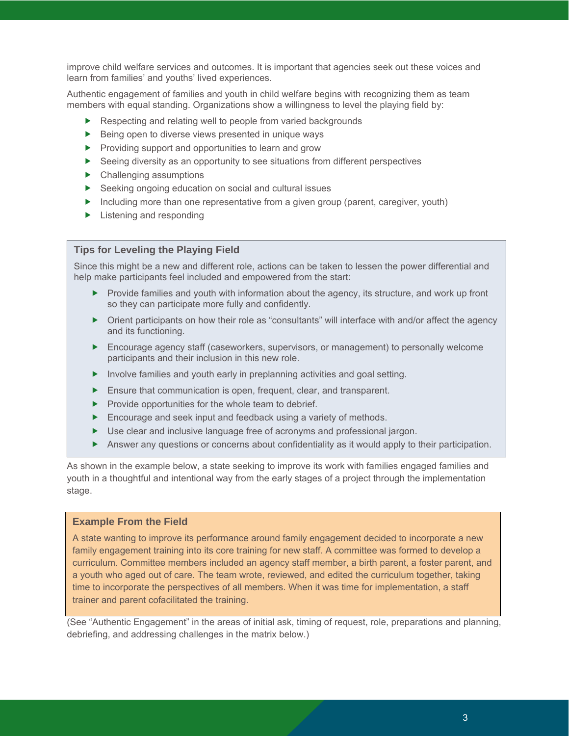improve child welfare services and outcomes. It is important that agencies seek out these voices and learn from families' and youths' lived experiences.

Authentic engagement of families and youth in child welfare begins with recognizing them as team members with equal standing. Organizations show a willingness to level the playing field by:

- Respecting and relating well to people from varied backgrounds
- Being open to diverse views presented in unique ways
- **Providing support and opportunities to learn and grow**
- Seeing diversity as an opportunity to see situations from different perspectives
- Challenging assumptions
- Seeking ongoing education on social and cultural issues
- Including more than one representative from a given group (parent, caregiver, youth)
- Extening and responding

#### **Tips for Leveling the Playing Field**

Since this might be a new and different role, actions can be taken to lessen the power differential and help make participants feel included and empowered from the start:

- $\blacktriangleright$  Provide families and youth with information about the agency, its structure, and work up front so they can participate more fully and confidently.
- Orient participants on how their role as "consultants" will interface with and/or affect the agency and its functioning.
- Encourage agency staff (caseworkers, supervisors, or management) to personally welcome participants and their inclusion in this new role.
- Involve families and youth early in preplanning activities and goal setting.
- **Ensure that communication is open, frequent, clear, and transparent.**
- $\blacktriangleright$  Provide opportunities for the whole team to debrief.
- **Encourage and seek input and feedback using a variety of methods.**
- Use clear and inclusive language free of acronyms and professional jargon.
- Answer any questions or concerns about confidentiality as it would apply to their participation.

As shown in the example below, a state seeking to improve its work with families engaged families and youth in a thoughtful and intentional way from the early stages of a project through the implementation stage.

#### **Example From the Field**

A state wanting to improve its performance around family engagement decided to incorporate a new family engagement training into its core training for new staff. A committee was formed to develop a curriculum. Committee members included an agency staff member, a birth parent, a foster parent, and a youth who aged out of care. The team wrote, reviewed, and edited the curriculum together, taking time to incorporate the perspectives of all members. When it was time for implementation, a staff trainer and parent cofacilitated the training.

(See "Authentic Engagement" in the areas of initial ask, timing of request, role, preparations and planning, debriefing, and addressing challenges in the matrix below.)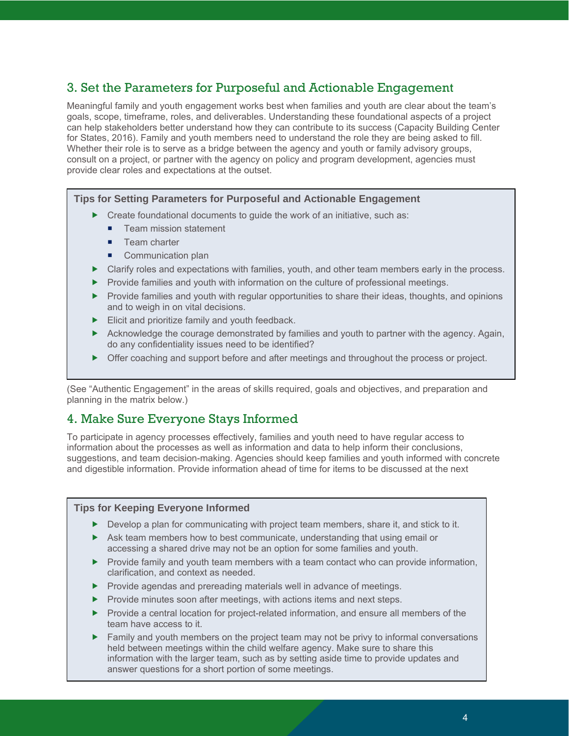## 3. Set the Parameters for Purposeful and Actionable Engagement

Meaningful family and youth engagement works best when families and youth are clear about the team's goals, scope, timeframe, roles, and deliverables. Understanding these foundational aspects of a project can help stakeholders better understand how they can contribute to its success (Capacity Building Center for States, 2016). Family and youth members need to understand the role they are being asked to fill. Whether their role is to serve as a bridge between the agency and youth or family advisory groups, consult on a project, or partner with the agency on policy and program development, agencies must provide clear roles and expectations at the outset.

#### **Tips for Setting Parameters for Purposeful and Actionable Engagement**

- Create foundational documents to guide the work of an initiative, such as:
	- ۳ Team mission statement
	- ۰. Team charter
	- **Communication plan**
- Clarify roles and expectations with families, youth, and other team members early in the process.
- $\blacktriangleright$  Provide families and youth with information on the culture of professional meetings.
- ▶ Provide families and youth with regular opportunities to share their ideas, thoughts, and opinions and to weigh in on vital decisions.
- Elicit and prioritize family and youth feedback.
- Acknowledge the courage demonstrated by families and youth to partner with the agency. Again, do any confidentiality issues need to be identified?
- Offer coaching and support before and after meetings and throughout the process or project.

(See "Authentic Engagement" in the areas of skills required, goals and objectives, and preparation and planning in the matrix below.)

### 4. Make Sure Everyone Stays Informed

To participate in agency processes effectively, families and youth need to have regular access to information about the processes as well as information and data to help inform their conclusions, suggestions, and team decision-making. Agencies should keep families and youth informed with concrete and digestible information. Provide information ahead of time for items to be discussed at the next

#### **Tips for Keeping Everyone Informed**

- Develop a plan for communicating with project team members, share it, and stick to it.
- Ask team members how to best communicate, understanding that using email or accessing a shared drive may not be an option for some families and youth.
- $\blacktriangleright$  Provide family and youth team members with a team contact who can provide information, clarification, and context as needed.
- **Provide agendas and prereading materials well in advance of meetings.**
- **Provide minutes soon after meetings, with actions items and next steps.**
- Provide a central location for project-related information, and ensure all members of the team have access to it.
- Family and youth members on the project team may not be privy to informal conversations held between meetings within the child welfare agency. Make sure to share this information with the larger team, such as by setting aside time to provide updates and answer questions for a short portion of some meetings.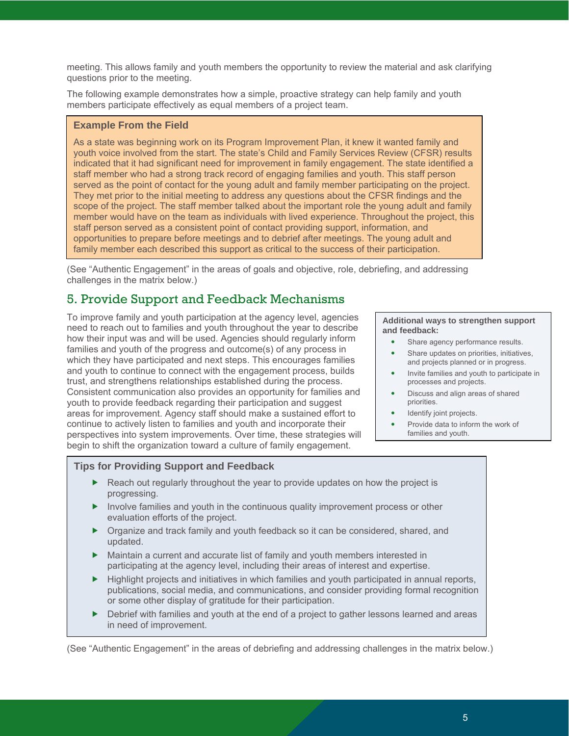meeting. This allows family and youth members the opportunity to review the material and ask clarifying questions prior to the meeting.

The following example demonstrates how a simple, proactive strategy can help family and youth members participate effectively as equal members of a project team.

#### **Example From the Field**

As a state was beginning work on its Program Improvement Plan, it knew it wanted family and youth voice involved from the start. The state's Child and Family Services Review (CFSR) results indicated that it had significant need for improvement in family engagement. The state identified a staff member who had a strong track record of engaging families and youth. This staff person served as the point of contact for the young adult and family member participating on the project. They met prior to the initial meeting to address any questions about the CFSR findings and the scope of the project. The staff member talked about the important role the young adult and family member would have on the team as individuals with lived experience. Throughout the project, this staff person served as a consistent point of contact providing support, information, and opportunities to prepare before meetings and to debrief after meetings. The young adult and family member each described this support as critical to the success of their participation.

(See "Authentic Engagement" in the areas of goals and objective, role, debriefing, and addressing challenges in the matrix below.)

### 5. Provide Support and Feedback Mechanisms

To improve family and youth participation at the agency level, agencies need to reach out to families and youth throughout the year to describe how their input was and will be used. Agencies should regularly inform families and youth of the progress and outcome(s) of any process in which they have participated and next steps. This encourages families and youth to continue to connect with the engagement process, builds trust, and strengthens relationships established during the process. Consistent communication also provides an opportunity for families and youth to provide feedback regarding their participation and suggest areas for improvement. Agency staff should make a sustained effort to continue to actively listen to families and youth and incorporate their perspectives into system improvements. Over time, these strategies will begin to shift the organization toward a culture of family engagement.

**Additional ways to strengthen support and feedback:**

- $\bullet$ Share agency performance results.
- $\bullet$ Share updates on priorities, initiatives, and projects planned or in progress.
- $\bullet$ Invite families and youth to participate in processes and projects.
- $\bullet$ Discuss and align areas of shared priorities.
- $\bullet$ Identify joint projects.
- $\bullet$ Provide data to inform the work of families and youth.

#### **Tips for Providing Support and Feedback**

- ▶ Reach out regularly throughout the year to provide updates on how the project is progressing.
- $\blacktriangleright$  Involve families and youth in the continuous quality improvement process or other evaluation efforts of the project.
- Organize and track family and youth feedback so it can be considered, shared, and updated.
- Maintain a current and accurate list of family and youth members interested in participating at the agency level, including their areas of interest and expertise.
- $\blacktriangleright$  Highlight projects and initiatives in which families and youth participated in annual reports, publications, social media, and communications, and consider providing formal recognition or some other display of gratitude for their participation.
- $\blacktriangleright$ Debrief with families and youth at the end of a project to gather lessons learned and areas in need of improvement.

(See "Authentic Engagement" in the areas of debriefing and addressing challenges in the matrix below.)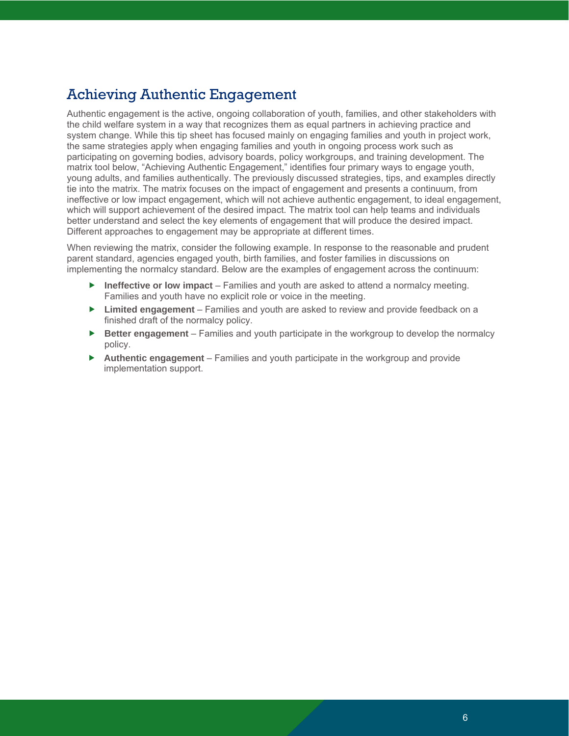## Achieving Authentic Engagement

Authentic engagement is the active, ongoing collaboration of youth, families, and other stakeholders with the child welfare system in a way that recognizes them as equal partners in achieving practice and system change. While this tip sheet has focused mainly on engaging families and youth in project work, the same strategies apply when engaging families and youth in ongoing process work such as participating on governing bodies, advisory boards, policy workgroups, and training development. The matrix tool below, "Achieving Authentic Engagement," identifies four primary ways to engage youth, young adults, and families authentically. The previously discussed strategies, tips, and examples directly tie into the matrix. The matrix focuses on the impact of engagement and presents a continuum, from ineffective or low impact engagement, which will not achieve authentic engagement, to ideal engagement, which will support achievement of the desired impact. The matrix tool can help teams and individuals better understand and select the key elements of engagement that will produce the desired impact. Different approaches to engagement may be appropriate at different times.

When reviewing the matrix, consider the following example. In response to the reasonable and prudent parent standard, agencies engaged youth, birth families, and foster families in discussions on implementing the normalcy standard. Below are the examples of engagement across the continuum:

- **Ineffective or low impact** Families and youth are asked to attend a normalcy meeting. Families and youth have no explicit role or voice in the meeting.
- **Limited engagement** Families and youth are asked to review and provide feedback on a finished draft of the normalcy policy.
- $\blacktriangleright$ **Better engagement** – Families and youth participate in the workgroup to develop the normalcy policy.
- $\blacktriangleright$ **Authentic engagement** – Families and youth participate in the workgroup and provide implementation support.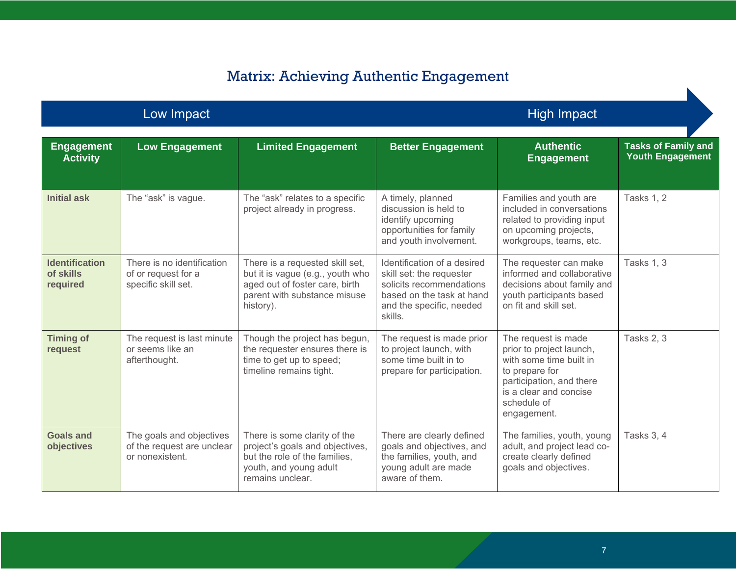# Matrix: Achieving Authentic Engagement

Low Impact **Experiment Controller Controller Controller Controller Controller Controller Controller Controller** 

| <b>Engagement</b><br><b>Activity</b>           | <b>Low Engagement</b>                                                     | <b>Limited Engagement</b>                                                                                                                          | <b>Better Engagement</b>                                                                                                                                | <b>Authentic</b><br><b>Engagement</b>                                                                                                                                            | <b>Tasks of Family and</b><br><b>Youth Engagement</b> |
|------------------------------------------------|---------------------------------------------------------------------------|----------------------------------------------------------------------------------------------------------------------------------------------------|---------------------------------------------------------------------------------------------------------------------------------------------------------|----------------------------------------------------------------------------------------------------------------------------------------------------------------------------------|-------------------------------------------------------|
| <b>Initial ask</b>                             | The "ask" is vague.                                                       | The "ask" relates to a specific<br>project already in progress.                                                                                    | A timely, planned<br>discussion is held to<br>identify upcoming<br>opportunities for family<br>and youth involvement.                                   | Families and youth are<br>included in conversations<br>related to providing input<br>on upcoming projects,<br>workgroups, teams, etc.                                            | <b>Tasks 1, 2</b>                                     |
| <b>Identification</b><br>of skills<br>required | There is no identification<br>of or request for a<br>specific skill set.  | There is a requested skill set,<br>but it is vague (e.g., youth who<br>aged out of foster care, birth<br>parent with substance misuse<br>history). | Identification of a desired<br>skill set: the requester<br>solicits recommendations<br>based on the task at hand<br>and the specific, needed<br>skills. | The requester can make<br>informed and collaborative<br>decisions about family and<br>youth participants based<br>on fit and skill set.                                          | <b>Tasks 1, 3</b>                                     |
| <b>Timing of</b><br>request                    | The request is last minute<br>or seems like an<br>afterthought.           | Though the project has begun,<br>the requester ensures there is<br>time to get up to speed;<br>timeline remains tight.                             | The request is made prior<br>to project launch, with<br>some time built in to<br>prepare for participation.                                             | The request is made<br>prior to project launch,<br>with some time built in<br>to prepare for<br>participation, and there<br>is a clear and concise<br>schedule of<br>engagement. | Tasks 2, 3                                            |
| <b>Goals and</b><br>objectives                 | The goals and objectives<br>of the request are unclear<br>or nonexistent. | There is some clarity of the<br>project's goals and objectives,<br>but the role of the families,<br>youth, and young adult<br>remains unclear.     | There are clearly defined<br>goals and objectives, and<br>the families, youth, and<br>young adult are made<br>aware of them.                            | The families, youth, young<br>adult, and project lead co-<br>create clearly defined<br>goals and objectives.                                                                     | <b>Tasks 3, 4</b>                                     |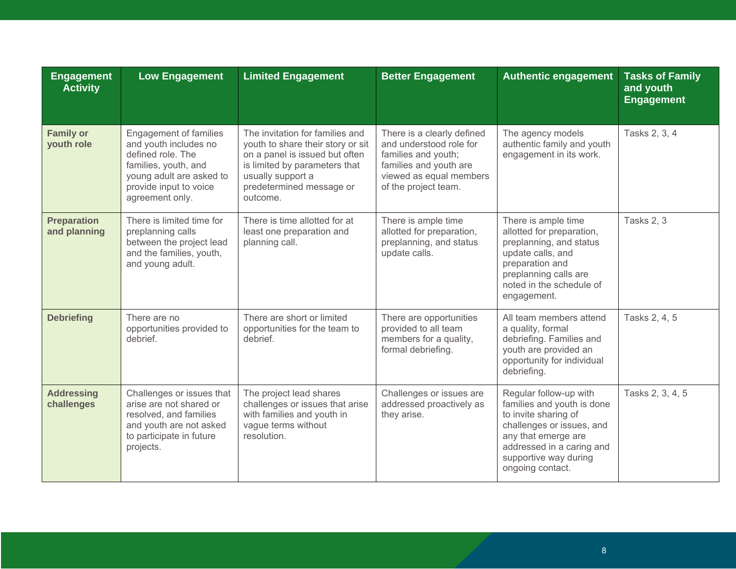| <b>Engagement</b><br><b>Activity</b> | <b>Low Engagement</b>                                                                                                                                                        | <b>Limited Engagement</b>                                                                                                                                                                            | <b>Better Engagement</b>                                                                                                                                  | <b>Authentic engagement</b>                                                                                                                                                                                | <b>Tasks of Family</b><br>and youth<br><b>Engagement</b> |
|--------------------------------------|------------------------------------------------------------------------------------------------------------------------------------------------------------------------------|------------------------------------------------------------------------------------------------------------------------------------------------------------------------------------------------------|-----------------------------------------------------------------------------------------------------------------------------------------------------------|------------------------------------------------------------------------------------------------------------------------------------------------------------------------------------------------------------|----------------------------------------------------------|
| <b>Family or</b><br>youth role       | <b>Engagement of families</b><br>and youth includes no<br>defined role. The<br>families, youth, and<br>young adult are asked to<br>provide input to voice<br>agreement only. | The invitation for families and<br>youth to share their story or sit<br>on a panel is issued but often<br>is limited by parameters that<br>usually support a<br>predetermined message or<br>outcome. | There is a clearly defined<br>and understood role for<br>families and youth;<br>families and youth are<br>viewed as equal members<br>of the project team. | The agency models<br>authentic family and youth<br>engagement in its work.                                                                                                                                 | Tasks 2, 3, 4                                            |
| <b>Preparation</b><br>and planning   | There is limited time for<br>preplanning calls<br>between the project lead<br>and the families, youth,<br>and young adult.                                                   | There is time allotted for at<br>least one preparation and<br>planning call.                                                                                                                         | There is ample time<br>allotted for preparation,<br>preplanning, and status<br>update calls.                                                              | There is ample time<br>allotted for preparation,<br>preplanning, and status<br>update calls, and<br>preparation and<br>preplanning calls are<br>noted in the schedule of<br>engagement.                    | Tasks 2, 3                                               |
| <b>Debriefing</b>                    | There are no<br>opportunities provided to<br>debrief.                                                                                                                        | There are short or limited<br>opportunities for the team to<br>debrief.                                                                                                                              | There are opportunities<br>provided to all team<br>members for a quality,<br>formal debriefing.                                                           | All team members attend<br>a quality, formal<br>debriefing. Families and<br>youth are provided an<br>opportunity for individual<br>debriefing.                                                             | Tasks 2, 4, 5                                            |
| <b>Addressing</b><br>challenges      | Challenges or issues that<br>arise are not shared or<br>resolved, and families<br>and youth are not asked<br>to participate in future<br>projects.                           | The project lead shares<br>challenges or issues that arise<br>with families and youth in<br>vague terms without<br>resolution.                                                                       | Challenges or issues are<br>addressed proactively as<br>they arise.                                                                                       | Regular follow-up with<br>families and youth is done<br>to invite sharing of<br>challenges or issues, and<br>any that emerge are<br>addressed in a caring and<br>supportive way during<br>ongoing contact. | Tasks 2, 3, 4, 5                                         |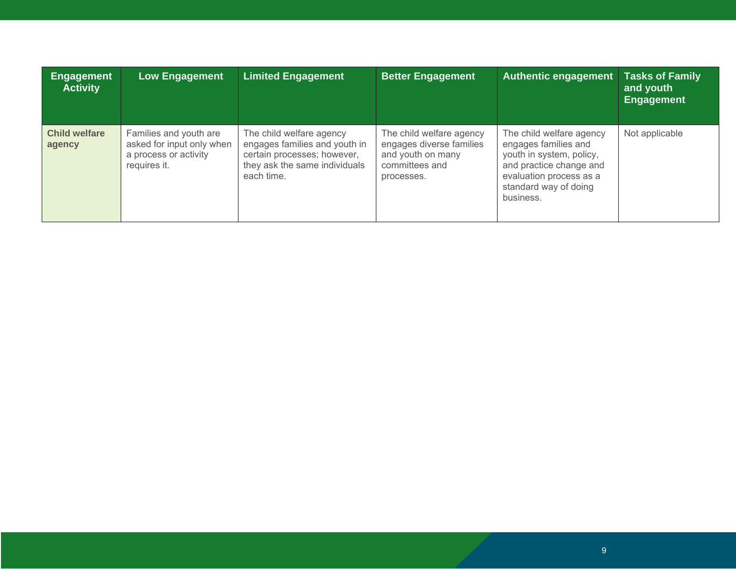| <b>Engagement</b><br><b>Activity</b> | <b>Low Engagement</b>                                                                        | <b>Limited Engagement</b>                                                                                                               | <b>Better Engagement</b>                                                                                  | <b>Authentic engagement</b>                                                                                                                                              | <b>Tasks of Family</b><br>and youth<br><b>Engagement</b> |
|--------------------------------------|----------------------------------------------------------------------------------------------|-----------------------------------------------------------------------------------------------------------------------------------------|-----------------------------------------------------------------------------------------------------------|--------------------------------------------------------------------------------------------------------------------------------------------------------------------------|----------------------------------------------------------|
| <b>Child welfare</b><br>agency       | Families and youth are<br>asked for input only when<br>a process or activity<br>requires it. | The child welfare agency<br>engages families and youth in<br>certain processes; however,<br>they ask the same individuals<br>each time. | The child welfare agency<br>engages diverse families<br>and youth on many<br>committees and<br>processes. | The child welfare agency<br>engages families and<br>youth in system, policy,<br>and practice change and<br>evaluation process as a<br>standard way of doing<br>business. | Not applicable                                           |